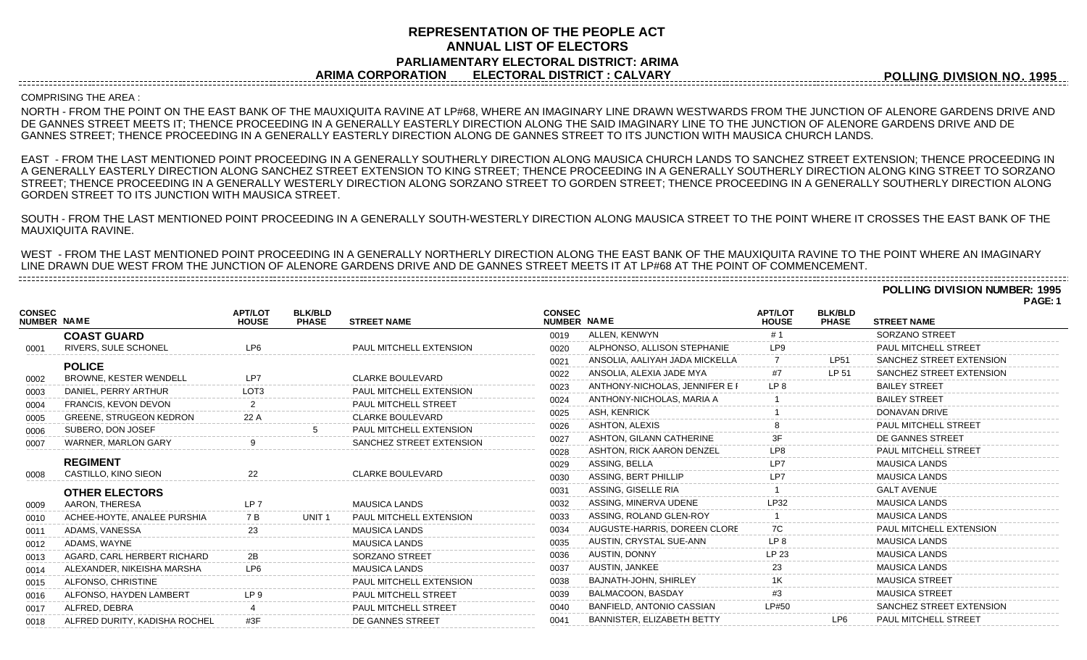## **REPRESENTATION OF THE PEOPLE ACT ANNUAL LIST OF ELECTORS PARLIAMENTARY ELECTORAL DISTRICT: ARIMA ARIMA CORPORATION ELECTORAL DISTRICT : CALVARY**

**POLLING DIVISION NO. 1995**

#### COMPRISING THE AREA :

--------------------------------------

NORTH - FROM THE POINT ON THE EAST BANK OF THE MAUXIQUITA RAVINE AT LP#68, WHERE AN IMAGINARY LINE DRAWN WESTWARDS FROM THE JUNCTION OF ALENORE GARDENS DRIVE AND DE GANNES STREET MEETS IT; THENCE PROCEEDING IN A GENERALLY EASTERLY DIRECTION ALONG THE SAID IMAGINARY LINE TO THE JUNCTION OF ALENORE GARDENS DRIVE AND DE GANNES STREET; THENCE PROCEEDING IN A GENERALLY EASTERLY DIRECTION ALONG DE GANNES STREET TO ITS JUNCTION WITH MAUSICA CHURCH LANDS.

EAST - FROM THE LAST MENTIONED POINT PROCEEDING IN A GENERALLY SOUTHERLY DIRECTION ALONG MAUSICA CHURCH LANDS TO SANCHEZ STREET EXTENSION; THENCE PROCEEDING IN A GENERALLY EASTERLY DIRECTION ALONG SANCHEZ STREET EXTENSION TO KING STREET; THENCE PROCEEDING IN A GENERALLY SOUTHERLY DIRECTION ALONG KING STREET TO SORZANO STREET; THENCE PROCEEDING IN A GENERALLY WESTERLY DIRECTION ALONG SORZANO STREET TO GORDEN STREET; THENCE PROCEEDING IN A GENERALLY SOUTHERLY DIRECTION ALONG GORDEN STREET TO ITS JUNCTION WITH MAUSICA STREET.

SOUTH - FROM THE LAST MENTIONED POINT PROCEEDING IN A GENERALLY SOUTH-WESTERLY DIRECTION ALONG MAUSICA STREET TO THE POINT WHERE IT CROSSES THE EAST BANK OF THE MAUXIQUITA RAVINE.

WEST - FROM THE LAST MENTIONED POINT PROCEEDING IN A GENERALLY NORTHERLY DIRECTION ALONG THE EAST BANK OF THE MAUXIQUITA RAVINE TO THE POINT WHERE AN IMAGINARY LINE DRAWN DUE WEST FROM THE JUNCTION OF ALENORE GARDENS DRIVE AND DE GANNES STREET MEETS IT AT LP#68 AT THE POINT OF COMMENCEMENT. 

> **POLLING DIVISION NUMBER: 1995 PAGE: 1**

| <b>CONSEC</b><br><b>NUMBER NAME</b> |                                | <b>APT/LOT</b><br><b>HOUSE</b> | <b>BLK/BLD</b><br><b>PHASE</b> | <b>STREET NAME</b>             | <b>CONSEC</b><br>NUMBER NAME |                                   | <b>APT/LOT</b><br><b>HOUSE</b> | <b>BLK/BLD</b><br><b>PHASE</b> | <b>STREET NAME</b>       |
|-------------------------------------|--------------------------------|--------------------------------|--------------------------------|--------------------------------|------------------------------|-----------------------------------|--------------------------------|--------------------------------|--------------------------|
|                                     | <b>COAST GUARD</b>             |                                |                                |                                | 0019                         | ALLEN, KENWYN                     | #1                             |                                | <b>SORZANO STREET</b>    |
| 0001                                | RIVERS, SULE SCHONEL           | LP <sub>6</sub>                |                                | PAUL MITCHELL EXTENSION        | 0020                         | ALPHONSO, ALLISON STEPHANIE       | LP9                            |                                | PAUL MITCHELL STREET     |
|                                     | <b>POLICE</b>                  |                                |                                |                                | 0021                         | ANSOLIA. AALIYAH JADA MICKELLA    |                                | <b>LP51</b>                    | SANCHEZ STREET EXTENSION |
| 0002                                | <b>BROWNE, KESTER WENDELL</b>  | LP7                            |                                | <b>CLARKE BOULEVARD</b>        | 0022                         | ANSOLIA, ALEXIA JADE MYA          | #7                             | LP 51                          | SANCHEZ STREET EXTENSION |
| 0003                                | DANIEL, PERRY ARTHUR           | LOT <sub>3</sub>               |                                | PAUL MITCHELL EXTENSION        | 0023                         | ANTHONY-NICHOLAS, JENNIFER E F    | LP <sub>8</sub>                |                                | <b>BAILEY STREET</b>     |
| 0004                                | FRANCIS, KEVON DEVON           |                                |                                | PAUL MITCHELL STREET           | 0024                         | ANTHONY-NICHOLAS, MARIA A         |                                |                                | <b>BAILEY STREET</b>     |
| 0005                                | <b>GREENE, STRUGEON KEDRON</b> | 22 A                           |                                | <b>CLARKE BOULEVARD</b>        | 0025                         | <b>ASH. KENRICK</b>               |                                |                                | DONAVAN DRIVE            |
| 0006                                | SUBERO, DON JOSEF              |                                |                                | <b>PAUL MITCHELL EXTENSION</b> | 0026                         | ASHTON, ALEXIS                    |                                |                                | PAUL MITCHELL STREET     |
| 0007                                | <b>WARNER, MARLON GARY</b>     |                                |                                | SANCHEZ STREET EXTENSION       | 0027                         | ASHTON, GILANN CATHERINE          | 3F                             |                                | DE GANNES STREET         |
|                                     |                                |                                |                                |                                | 0028                         | ASHTON, RICK AARON DENZEL         | LP <sub>8</sub>                |                                | PAUL MITCHELL STREET     |
|                                     | <b>REGIMENT</b>                |                                |                                |                                | 0029                         | ASSING, BELLA                     | LP7                            |                                | <b>MAUSICA LANDS</b>     |
| 0008                                | CASTILLO, KINO SIEON           | 22                             |                                | <b>CLARKE BOULEVARD</b>        | 0030                         | ASSING, BERT PHILLIP              | l P7                           |                                | <b>MAUSICA LANDS</b>     |
|                                     | <b>OTHER ELECTORS</b>          |                                |                                |                                | 0031                         | ASSING, GISELLE RIA               |                                |                                | <b>GALT AVENUE</b>       |
| 0009                                | AARON, THERESA                 | LP <sub>7</sub>                |                                | <b>MAUSICA LANDS</b>           | 0032                         | ASSING, MINERVA UDENE             | -P32                           |                                | <b>MAUSICA LANDS</b>     |
| 0010                                | ACHEE-HOYTE, ANALEE PURSHIA    | 7 B                            | UNIT 1                         | PAUL MITCHELL EXTENSION        | 0033                         | ASSING, ROLAND GLEN-ROY           |                                |                                | <b>MAUSICA LANDS</b>     |
| 0011                                | ADAMS, VANESSA                 | 23                             |                                | <b>MAUSICA LANDS</b>           | 0034                         | AUGUSTE-HARRIS, DOREEN CLORE      | 7C                             |                                | PAUL MITCHELL EXTENSION  |
| 0012                                | ADAMS, WAYNE                   |                                |                                | <b>MAUSICA LANDS</b>           | 0035                         | AUSTIN, CRYSTAL SUE-ANN           | LP <sub>8</sub>                |                                | <b>MAUSICA LANDS</b>     |
| 0013                                | AGARD, CARL HERBERT RICHARD    | 2B                             |                                | SORZANO STREET                 | 0036                         | <b>AUSTIN, DONNY</b>              | LP 23                          |                                | <b>MAUSICA LANDS</b>     |
| 0014                                | ALEXANDER, NIKEISHA MARSHA     | LP <sub>6</sub>                |                                | <b>MAUSICA LANDS</b>           | 0037                         | AUSTIN, JANKEE                    | 23                             |                                | <b>MAUSICA LANDS</b>     |
| 0015                                | ALFONSO, CHRISTINE             |                                |                                | <b>PAUL MITCHELL EXTENSION</b> | 0038                         | <b>BAJNATH-JOHN, SHIRLEY</b>      |                                |                                | <b>MAUSICA STREET</b>    |
| 0016                                | ALFONSO, HAYDEN LAMBERT        | IPQ                            |                                | PAUL MITCHELL STREET           | 0039                         | BALMACOON, BASDAY                 |                                |                                | <b>MAUSICA STREET</b>    |
| 0017                                | ALFRED, DEBRA                  |                                |                                | PAUL MITCHELL STREET           | 0040                         | <b>BANFIELD, ANTONIO CASSIAN</b>  | LP#50                          |                                | SANCHEZ STREET EXTENSION |
| 0018                                | ALFRED DURITY, KADISHA ROCHEL  | #3F                            |                                | DE GANNES STREET               | 0041                         | <b>BANNISTER, ELIZABETH BETTY</b> |                                | LP <sub>6</sub>                | PAUL MITCHELL STREET     |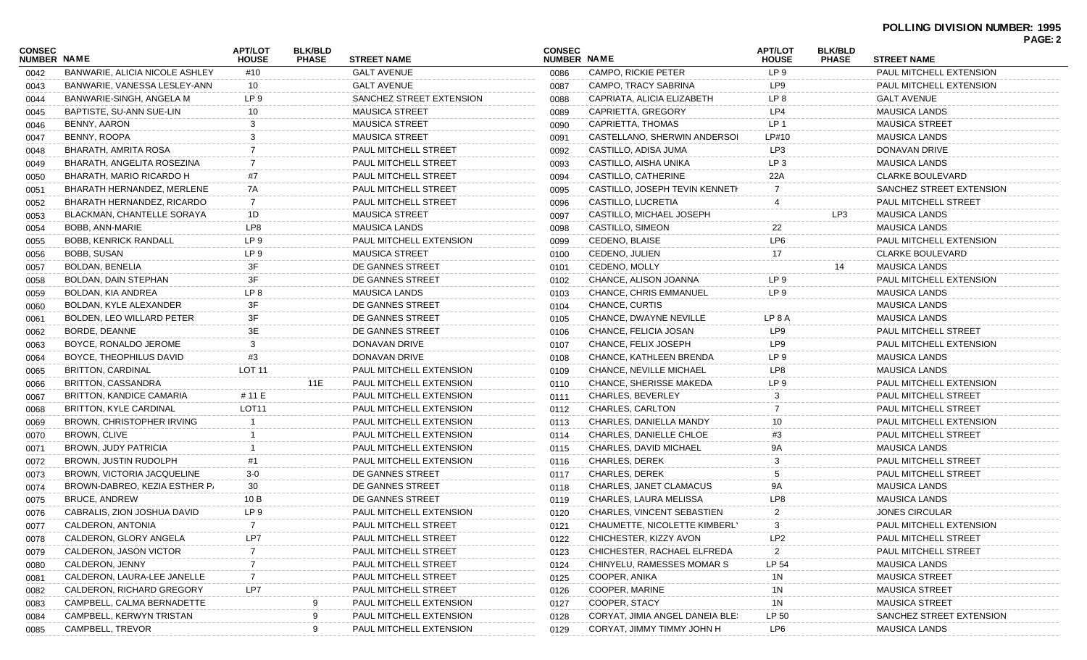|                              |                                |                                |                                |                          |                              |                                 |                                |                                |                             | PAGE: 2 |
|------------------------------|--------------------------------|--------------------------------|--------------------------------|--------------------------|------------------------------|---------------------------------|--------------------------------|--------------------------------|-----------------------------|---------|
| <b>CONSEC</b><br>NUMBER NAME |                                | <b>APT/LOT</b><br><b>HOUSE</b> | <b>BLK/BLD</b><br><b>PHASE</b> | <b>STREET NAME</b>       | <b>CONSEC</b><br>NUMBER NAME |                                 | <b>APT/LOT</b><br><b>HOUSE</b> | <b>BLK/BLD</b><br><b>PHASE</b> | <b>STREET NAME</b>          |         |
| 0042                         | BANWARIE, ALICIA NICOLE ASHLEY | #10                            |                                | <b>GALT AVENUE</b>       | 0086                         | <b>CAMPO, RICKIE PETER</b>      | LP <sub>9</sub>                |                                | PAUL MITCHELL EXTENSION     |         |
| 0043                         | BANWARIE, VANESSA LESLEY-ANN   | 10                             |                                | <b>GALT AVENUE</b>       | 0087                         | CAMPO, TRACY SABRINA            | LP9                            |                                | PAUL MITCHELL EXTENSION     |         |
| 0044                         | BANWARIE-SINGH, ANGELA M       | LP <sub>9</sub>                |                                | SANCHEZ STREET EXTENSION | 0088                         | CAPRIATA, ALICIA ELIZABETH      | LP 8                           |                                | <b>GALT AVENUE</b>          |         |
| 0045                         | BAPTISTE, SU-ANN SUE-LIN       | 10                             |                                | <b>MAUSICA STREET</b>    | 0089                         | CAPRIETTA, GREGORY              | LP4                            |                                | <b>MAUSICA LANDS</b>        |         |
| 0046                         | BENNY, AARON                   | 3                              |                                | <b>MAUSICA STREET</b>    | 0090                         | CAPRIETTA, THOMAS               | LP 1                           |                                | <b>MAUSICA STREET</b>       |         |
| 0047                         | BENNY, ROOPA                   |                                |                                | <b>MAUSICA STREET</b>    | 0091                         | CASTELLANO, SHERWIN ANDERSOI    | LP#10                          |                                | <b>MAUSICA LANDS</b>        |         |
| 0048                         | <b>BHARATH, AMRITA ROSA</b>    |                                |                                | PAUL MITCHELL STREET     | 0092                         | CASTILLO, ADISA JUMA            | LP3                            |                                | DONAVAN DRIVE               |         |
| 0049                         | BHARATH, ANGELITA ROSEZINA     |                                |                                | PAUL MITCHELL STREET     | 0093                         | CASTILLO, AISHA UNIKA           | LP <sub>3</sub>                |                                | <b>MAUSICA LANDS</b>        |         |
| 0050                         | BHARATH, MARIO RICARDO H       | #7                             |                                | PAUL MITCHELL STREET     | 0094                         | CASTILLO, CATHERINE             | 22A                            |                                | <b>CLARKE BOULEVARD</b>     |         |
| 0051                         | BHARATH HERNANDEZ, MERLENE     | 7A                             |                                | PAUL MITCHELL STREET     | 0095                         | CASTILLO, JOSEPH TEVIN KENNETH  | 7                              |                                | SANCHEZ STREET EXTENSION    |         |
| 0052                         | BHARATH HERNANDEZ, RICARDO     | 7                              |                                | PAUL MITCHELL STREET     | 0096                         | CASTILLO, LUCRETIA              | 4                              |                                | PAUL MITCHELL STREET        |         |
| 0053                         | BLACKMAN, CHANTELLE SORAYA     | 1D                             |                                | <b>MAUSICA STREET</b>    | 0097                         | CASTILLO, MICHAEL JOSEPH        |                                | LP3                            | <b>MAUSICA LANDS</b>        |         |
| 0054                         | BOBB, ANN-MARIE                | LP8                            |                                | <b>MAUSICA LANDS</b>     | 0098                         | CASTILLO, SIMEON                | 22                             |                                | <b>MAUSICA LANDS</b>        |         |
| 0055                         | <b>BOBB, KENRICK RANDALL</b>   | LP <sub>9</sub>                |                                | PAUL MITCHELL EXTENSION  | 0099                         | CEDENO, BLAISE                  | LP6                            |                                | PAUL MITCHELL EXTENSION     |         |
| 0056                         | BOBB, SUSAN                    | LP <sub>9</sub>                |                                | <b>MAUSICA STREET</b>    | 0100                         | CEDENO, JULIEN                  | 17                             |                                | <b>CLARKE BOULEVARD</b>     |         |
| 0057                         | BOLDAN, BENELIA                | 3F                             |                                | DE GANNES STREET         | 0101                         | CEDENO, MOLLY                   |                                | 14                             | <b>MAUSICA LANDS</b>        |         |
| 0058                         | BOLDAN, DAIN STEPHAN           | 3F                             |                                | DE GANNES STREET         | 0102                         | CHANCE, ALISON JOANNA           | LP 9                           |                                | PAUL MITCHELL EXTENSION     |         |
| 0059                         | BOLDAN, KIA ANDREA             | LP <sub>8</sub>                |                                | <b>MAUSICA LANDS</b>     | 0103                         | <b>CHANCE, CHRIS EMMANUEL</b>   | LP <sub>9</sub>                |                                | <b>MAUSICA LANDS</b>        |         |
| 0060                         | BOLDAN, KYLE ALEXANDER         | 3F                             |                                | DE GANNES STREET         | 0104                         | CHANCE, CURTIS                  |                                |                                | <b>MAUSICA LANDS</b>        |         |
| 0061                         | BOLDEN, LEO WILLARD PETER      | 3F                             |                                | DE GANNES STREET         | 0105                         | <b>CHANCE, DWAYNE NEVILLE</b>   | LP 8 A                         |                                | <b>MAUSICA LANDS</b>        |         |
| 0062                         | BORDE, DEANNE                  | 3E                             |                                | DE GANNES STREET         | 0106                         | CHANCE, FELICIA JOSAN           | LP9                            |                                | PAUL MITCHELL STREET        |         |
| 0063                         | BOYCE, RONALDO JEROME          | 3                              |                                | <b>DONAVAN DRIVE</b>     | 0107                         | CHANCE, FELIX JOSEPH            | LP9                            |                                | PAUL MITCHELL EXTENSION     |         |
| 0064                         | BOYCE, THEOPHILUS DAVID        | #3                             |                                | DONAVAN DRIVE            | 0108                         | CHANCE, KATHLEEN BRENDA         | LP 9                           |                                | <b>MAUSICA LANDS</b>        |         |
| 0065                         | BRITTON, CARDINAL              | <b>LOT 11</b>                  |                                | PAUL MITCHELL EXTENSION  | 0109                         | <b>CHANCE, NEVILLE MICHAEL</b>  | LP8                            |                                | <b>MAUSICA LANDS</b>        |         |
| 0066                         | BRITTON, CASSANDRA             |                                | 11E                            | PAUL MITCHELL EXTENSION  | 0110                         | <b>CHANCE, SHERISSE MAKEDA</b>  | LP 9                           |                                | PAUL MITCHELL EXTENSION     |         |
| 0067                         | BRITTON, KANDICE CAMARIA       | # 11 E                         |                                | PAUL MITCHELL EXTENSION  | 0111                         | <b>CHARLES, BEVERLEY</b>        | 3                              |                                | <b>PAUL MITCHELL STREET</b> |         |
| 0068                         | BRITTON, KYLE CARDINAL         | LOT <sub>11</sub>              |                                | PAUL MITCHELL EXTENSION  | 0112                         | CHARLES, CARLTON                | 7                              |                                | <b>PAUL MITCHELL STREET</b> |         |
| 0069                         | BROWN, CHRISTOPHER IRVING      |                                |                                | PAUL MITCHELL EXTENSION  | 0113                         | CHARLES, DANIELLA MANDY         | 10                             |                                | PAUL MITCHELL EXTENSION     |         |
| 0070                         | BROWN, CLIVE                   |                                |                                | PAUL MITCHELL EXTENSION  | 0114                         | CHARLES, DANIELLE CHLOE         | #3                             |                                | PAUL MITCHELL STREET        |         |
| 0071                         | BROWN, JUDY PATRICIA           |                                |                                | PAUL MITCHELL EXTENSION  | 0115                         | CHARLES, DAVID MICHAEL          | 9Α                             |                                | <b>MAUSICA LANDS</b>        |         |
| 0072                         | BROWN, JUSTIN RUDOLPH          | #1                             |                                | PAUL MITCHELL EXTENSION  | 0116                         | <b>CHARLES, DEREK</b>           | 3                              |                                | PAUL MITCHELL STREET        |         |
| 0073                         | BROWN, VICTORIA JACQUELINE     | $3-0$                          |                                | DE GANNES STREET         | 0117                         | <b>CHARLES, DEREK</b>           | 5                              |                                | PAUL MITCHELL STREET        |         |
| 0074                         | BROWN-DABREO, KEZIA ESTHER P/  | 30                             |                                | DE GANNES STREET         | 0118                         | CHARLES, JANET CLAMACUS         | 9Α                             |                                | <b>MAUSICA LANDS</b>        |         |
| 0075                         | <b>BRUCE, ANDREW</b>           | 10 B                           |                                | DE GANNES STREET         | 0119                         | CHARLES, LAURA MELISSA          | LP8                            |                                | <b>MAUSICA LANDS</b>        |         |
| 0076                         | CABRALIS, ZION JOSHUA DAVID    | LP 9                           |                                | PAUL MITCHELL EXTENSION  | 0120                         | CHARLES, VINCENT SEBASTIEN      | $\overline{2}$                 |                                | <b>JONES CIRCULAR</b>       |         |
| 0077                         | CALDERON, ANTONIA              | $\overline{7}$                 |                                | PAUL MITCHELL STREET     | 0121                         | CHAUMETTE, NICOLETTE KIMBERLY   | 3                              |                                | PAUL MITCHELL EXTENSION     |         |
| 0078                         | CALDERON, GLORY ANGELA         | LP7                            |                                | PAUL MITCHELL STREET     | 0122                         | CHICHESTER, KIZZY AVON          | LP <sub>2</sub>                |                                | PAUL MITCHELL STREET        |         |
| 0079                         | CALDERON, JASON VICTOR         |                                |                                | PAUL MITCHELL STREET     | 0123                         | CHICHESTER, RACHAEL ELFREDA     | 2                              |                                | PAUL MITCHELL STREET        |         |
| 0080                         | CALDERON, JENNY                |                                |                                | PAUL MITCHELL STREET     | 0124                         | CHINYELU, RAMESSES MOMAR S      | LP 54                          |                                | <b>MAUSICA LANDS</b>        |         |
| 0081                         | CALDERON, LAURA-LEE JANELLE    |                                |                                | PAUL MITCHELL STREET     | 0125                         | COOPER, ANIKA                   | 1N                             |                                | <b>MAUSICA STREET</b>       |         |
| 0082                         | CALDERON, RICHARD GREGORY      | LP7                            |                                | PAUL MITCHELL STREET     | 0126                         | COOPER, MARINE                  | 1N                             |                                | <b>MAUSICA STREET</b>       |         |
| 0083                         | CAMPBELL, CALMA BERNADETTE     |                                | 9                              | PAUL MITCHELL EXTENSION  | 0127                         | COOPER, STACY                   | 1N                             |                                | <b>MAUSICA STREET</b>       |         |
| 0084                         | CAMPBELL, KERWYN TRISTAN       |                                | 9                              | PAUL MITCHELL EXTENSION  | 0128                         | CORYAT, JIMIA ANGEL DANEIA BLE! | LP 50                          |                                | SANCHEZ STREET EXTENSION    |         |
| 0085                         | CAMPBELL, TREVOR               |                                | 9                              | PAUL MITCHELL EXTENSION  | 0129                         | CORYAT, JIMMY TIMMY JOHN H      | LP6                            |                                | <b>MAUSICA LANDS</b>        |         |
|                              |                                |                                |                                |                          |                              |                                 |                                |                                |                             |         |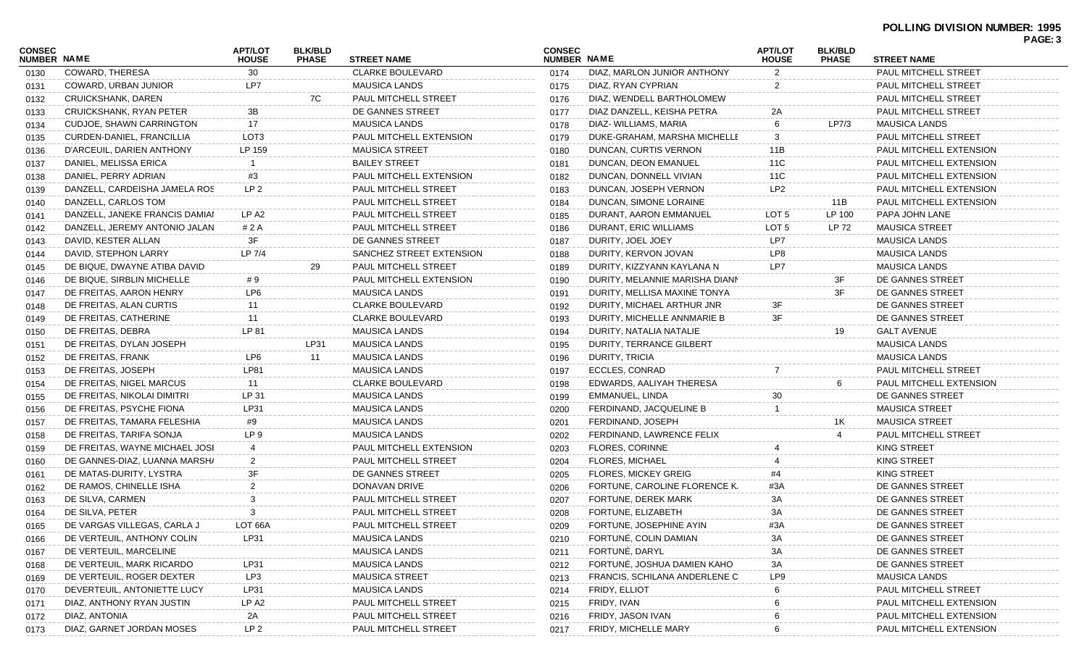# **POLLING DIVISION NUMBER: 1995**

| <b>PAGE:</b><br>າ<br>C |  |
|------------------------|--|
|------------------------|--|

|                              |                                |                                |                                |                          |                              |                                |                                |                                |                         | . nul. v |
|------------------------------|--------------------------------|--------------------------------|--------------------------------|--------------------------|------------------------------|--------------------------------|--------------------------------|--------------------------------|-------------------------|----------|
| <b>CONSEC</b><br>NUMBER NAME |                                | <b>APT/LOT</b><br><b>HOUSE</b> | <b>BLK/BLD</b><br><b>PHASE</b> | <b>STREET NAME</b>       | <b>CONSEC</b><br>NUMBER NAME |                                | <b>APT/LOT</b><br><b>HOUSE</b> | <b>BLK/BLD</b><br><b>PHASE</b> | <b>STREET NAME</b>      |          |
| 0130                         | <b>COWARD, THERESA</b>         | 30                             |                                | <b>CLARKE BOULEVARD</b>  | 0174                         | DIAZ, MARLON JUNIOR ANTHONY    | 2                              |                                | PAUL MITCHELL STREET    |          |
| 0131                         | COWARD, URBAN JUNIOR           | LP7                            |                                | <b>MAUSICA LANDS</b>     | 0175                         | DIAZ, RYAN CYPRIAN             | 2                              |                                | PAUL MITCHELL STREET    |          |
| 0132                         | <b>CRUICKSHANK, DAREN</b>      |                                | 7C                             | PAUL MITCHELL STREET     | 0176                         | DIAZ, WENDELL BARTHOLOMEW      |                                |                                | PAUL MITCHELL STREET    |          |
| 0133                         | <b>CRUICKSHANK, RYAN PETER</b> | 3B                             |                                | DE GANNES STREET         | 0177                         | DIAZ DANZELL, KEISHA PETRA     | 2A                             |                                | PAUL MITCHELL STREET    |          |
| 0134                         | CUDJOE, SHAWN CARRINGTON       | 17                             |                                | <b>MAUSICA LANDS</b>     | 0178                         | DIAZ- WILLIAMS, MARIA          | 6                              | LP7/3                          | <b>MAUSICA LANDS</b>    |          |
| 0135                         | CURDEN-DANIEL, FRANCILLIA      | LOT3                           |                                | PAUL MITCHELL EXTENSION  | 0179                         | DUKE-GRAHAM, MARSHA MICHELLE   | 3                              |                                | PAUL MITCHELL STREET    |          |
| 0136                         | D'ARCEUIL. DARIEN ANTHONY      | LP 159                         |                                | <b>MAUSICA STREET</b>    | 0180                         | DUNCAN, CURTIS VERNON          | 11B                            |                                | PAUL MITCHELL EXTENSION |          |
| 0137                         | DANIEL, MELISSA ERICA          |                                |                                | <b>BAILEY STREET</b>     | 0181                         | DUNCAN, DEON EMANUEL           | 11C                            |                                | PAUL MITCHELL EXTENSION |          |
| 0138                         | DANIEL, PERRY ADRIAN           | #3                             |                                | PAUL MITCHELL EXTENSION  | 0182                         | DUNCAN, DONNELL VIVIAN         | 11C                            |                                | PAUL MITCHELL EXTENSION |          |
| 0139                         | DANZELL, CARDEISHA JAMELA ROS  | LP <sub>2</sub>                |                                | PAUL MITCHELL STREET     | 0183                         | DUNCAN, JOSEPH VERNON          | LP <sub>2</sub>                |                                | PAUL MITCHELL EXTENSION |          |
| 0140                         | DANZELL, CARLOS TOM            |                                |                                | PAUL MITCHELL STREET     | 0184                         | DUNCAN, SIMONE LORAINE         |                                | 11B                            | PAUL MITCHELL EXTENSION |          |
| 0141                         | DANZELL, JANEKE FRANCIS DAMIAI | LP A <sub>2</sub>              |                                | PAUL MITCHELL STREET     | 0185                         | DURANT, AARON EMMANUEL         | LOT <sub>5</sub>               | LP 100                         | PAPA JOHN LANE          |          |
| 0142                         | DANZELL, JEREMY ANTONIO JALAN  | # 2 A                          |                                | PAUL MITCHELL STREET     | 0186                         | DURANT, ERIC WILLIAMS          | LOT <sub>5</sub>               | LP 72                          | <b>MAUSICA STREET</b>   |          |
| 0143                         | DAVID, KESTER ALLAN            | 3F                             |                                | DE GANNES STREET         | 0187                         | DURITY, JOEL JOEY              | LP7                            |                                | <b>MAUSICA LANDS</b>    |          |
| 0144                         | DAVID, STEPHON LARRY           | LP 7/4                         |                                | SANCHEZ STREET EXTENSION | 0188                         | DURITY, KERVON JOVAN           | LP8                            |                                | <b>MAUSICA LANDS</b>    |          |
| 0145                         | DE BIQUE, DWAYNE ATIBA DAVID   |                                | 29                             | PAUL MITCHELL STREET     | 0189                         | DURITY, KIZZYANN KAYLANA N     | LP7                            |                                | <b>MAUSICA LANDS</b>    |          |
| 0146                         | DE BIQUE, SIRBLIN MICHELLE     | #9                             |                                | PAUL MITCHELL EXTENSION  | 0190                         | DURITY, MELANNIE MARISHA DIANN |                                | 3F                             | DE GANNES STREET        |          |
| 0147                         | DE FREITAS, AARON HENRY        | LP <sub>6</sub>                |                                | <b>MAUSICA LANDS</b>     | 0191                         | DURITY, MELLISA MAXINE TONYA   |                                | 3F                             | DE GANNES STREET        |          |
| 0148                         | DE FREITAS, ALAN CURTIS        | 11                             |                                | <b>CLARKE BOULEVARD</b>  | 0192                         | DURITY, MICHAEL ARTHUR JNR     | 3F                             |                                | DE GANNES STREET        |          |
| 0149                         | DE FREITAS, CATHERINE          | 11                             |                                | <b>CLARKE BOULEVARD</b>  | 0193                         | DURITY, MICHELLE ANNMARIE B    | 3F                             |                                | DE GANNES STREET        |          |
| 0150                         | DE FREITAS, DEBRA              | LP 81                          |                                | <b>MAUSICA LANDS</b>     | 0194                         | DURITY, NATALIA NATALIE        |                                | 19                             | <b>GALT AVENUE</b>      |          |
| 0151                         | DE FREITAS, DYLAN JOSEPH       |                                | LP31                           | <b>MAUSICA LANDS</b>     | 0195                         | DURITY, TERRANCE GILBERT       |                                |                                | <b>MAUSICA LANDS</b>    |          |
| 0152                         | DE FREITAS, FRANK              | LP6                            | 11                             | <b>MAUSICA LANDS</b>     | 0196                         | DURITY, TRICIA                 |                                |                                | <b>MAUSICA LANDS</b>    |          |
| 0153                         | DE FREITAS, JOSEPH             | LP81                           |                                | <b>MAUSICA LANDS</b>     | 0197                         | <b>ECCLES, CONRAD</b>          |                                |                                | PAUL MITCHELL STREET    |          |
| 0154                         | DE FREITAS, NIGEL MARCUS       | 11                             |                                | <b>CLARKE BOULEVARD</b>  | 0198                         | EDWARDS, AALIYAH THERESA       |                                |                                | PAUL MITCHELL EXTENSION |          |
| 0155                         | DE FREITAS, NIKOLAI DIMITRI    | LP 31                          |                                | <b>MAUSICA LANDS</b>     | 0199                         | EMMANUEL, LINDA                | 30                             |                                | DE GANNES STREET        |          |
| 0156                         | DE FREITAS, PSYCHE FIONA       | LP31                           |                                | <b>MAUSICA LANDS</b>     | 0200                         | FERDINAND, JACQUELINE B        |                                |                                | <b>MAUSICA STREET</b>   |          |
| 0157                         | DE FREITAS, TAMARA FELESHIA    | #9                             |                                | <b>MAUSICA LANDS</b>     | 0201                         | FERDINAND, JOSEPH              |                                | 1K                             | <b>MAUSICA STREET</b>   |          |
| 0158                         | DE FREITAS, TARIFA SONJA       | LP 9                           |                                | <b>MAUSICA LANDS</b>     | 0202                         | FERDINAND, LAWRENCE FELIX      |                                |                                | PAUL MITCHELL STREET    |          |
| 0159                         | DE FREITAS, WAYNE MICHAEL JOSI |                                |                                | PAUL MITCHELL EXTENSION  | 0203                         | FLORES, CORINNE                |                                |                                | KING STREET             |          |
| 0160                         | DE GANNES-DIAZ, LUANNA MARSH/  | 2                              |                                | PAUL MITCHELL STREET     | 0204                         | <b>FLORES, MICHAEL</b>         |                                |                                | <b>KING STREET</b>      |          |
| 0161                         | DE MATAS-DURITY, LYSTRA        | 3F                             |                                | DE GANNES STREET         | 0205                         | <b>FLORES, MICKEY GREIG</b>    | #4                             |                                | KING STREET             |          |
| 0162                         | DE RAMOS, CHINELLE ISHA        |                                |                                | DONAVAN DRIVE            | 0206                         | FORTUNE, CAROLINE FLORENCE K.  | #3A                            |                                | DE GANNES STREET        |          |
| 0163                         | DE SILVA, CARMEN               |                                |                                | PAUL MITCHELL STREET     | 0207                         | <b>FORTUNE, DEREK MARK</b>     | 3A                             |                                | DE GANNES STREET        |          |
| 0164                         | DE SILVA, PETER                | 3                              |                                | PAUL MITCHELL STREET     | 0208                         | FORTUNE, ELIZABETH             | 3A                             |                                | DE GANNES STREET        |          |
| 0165                         | DE VARGAS VILLEGAS, CARLA J    | LOT 66A                        |                                | PAUL MITCHELL STREET     | 0209                         | FORTUNE, JOSEPHINE AYIN        |                                |                                | DE GANNES STREET        |          |
| 0166                         | DE VERTEUIL, ANTHONY COLIN     | LP31                           |                                | <b>MAUSICA LANDS</b>     | 0210                         | FORTUNÉ, COLIN DAMIAN          | ЗA                             |                                | DE GANNES STREET        |          |
| 0167                         | DE VERTEUIL, MARCELINE         |                                |                                | <b>MAUSICA LANDS</b>     | 0211                         | FORTUNÉ, DARYL                 | ЗΑ                             |                                | DE GANNES STREET        |          |
| 0168                         | DE VERTEUIL, MARK RICARDO      | LP31                           |                                | <b>MAUSICA LANDS</b>     | 0212                         | FORTUNÉ, JOSHUA DAMIEN KAHO    | 3A                             |                                | DE GANNES STREET        |          |
| 0169                         | DE VERTEUIL, ROGER DEXTER      | LP3                            |                                | <b>MAUSICA STREET</b>    | 0213                         | FRANCIS, SCHILANA ANDERLENE C  | LP9                            |                                | <b>MAUSICA LANDS</b>    |          |
| 0170                         | DEVERTEUIL, ANTONIETTE LUCY    | LP31                           |                                | <b>MAUSICA LANDS</b>     | 0214                         | <b>FRIDY, ELLIOT</b>           |                                |                                | PAUL MITCHELL STREET    |          |
| 0171                         | DIAZ, ANTHONY RYAN JUSTIN      | LP A2                          |                                | PAUL MITCHELL STREET     | 0215                         | FRIDY, IVAN                    |                                |                                | PAUL MITCHELL EXTENSION |          |
| 0172                         | DIAZ, ANTONIA                  | 2A                             |                                | PAUL MITCHELL STREET     | 0216                         | FRIDY, JASON IVAN              |                                |                                | PAUL MITCHELL EXTENSION |          |
| 0173                         | DIAZ, GARNET JORDAN MOSES      | LP <sub>2</sub>                |                                | PAUL MITCHELL STREET     | 0217                         | <b>FRIDY, MICHELLE MARY</b>    |                                |                                | PAUL MITCHELL EXTENSION |          |
|                              |                                |                                |                                |                          |                              |                                |                                |                                |                         |          |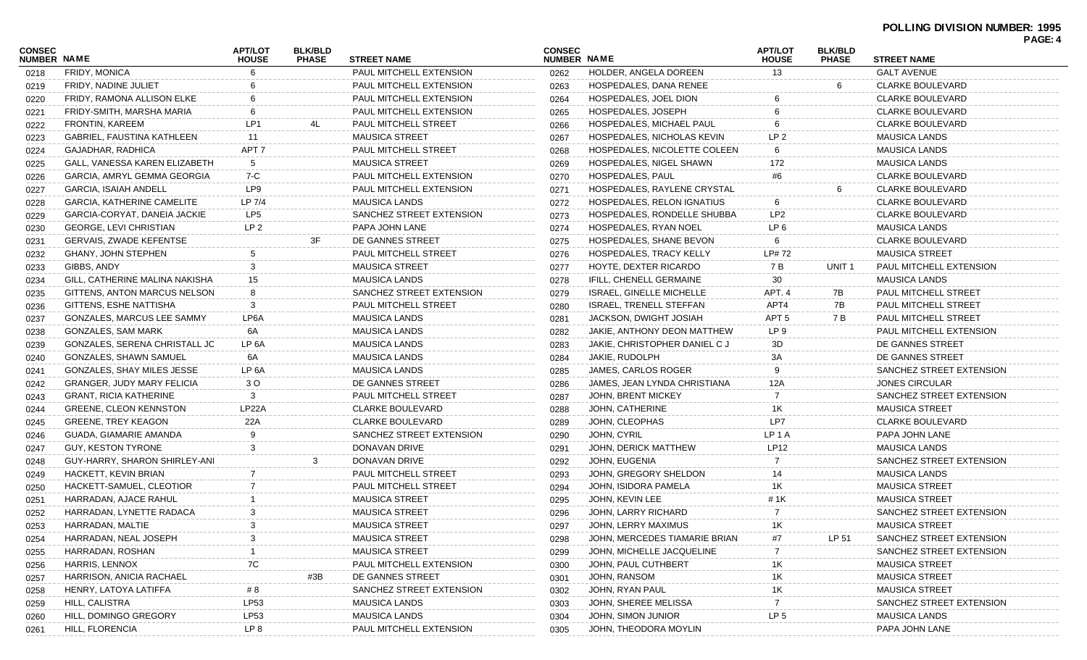| <b>CONSEC</b><br>NUMBER NAME |                                   | <b>APT/LOT</b><br><b>HOUSE</b> | <b>BLK/BLD</b><br><b>PHASE</b> | <b>STREET NAME</b>          | <b>CONSEC</b><br>NUMBER NAME |                                 | <b>APT/LOT</b><br><b>HOUSE</b> | <b>BLK/BLD</b><br><b>PHASE</b> | <b>STREET NAME</b>          |
|------------------------------|-----------------------------------|--------------------------------|--------------------------------|-----------------------------|------------------------------|---------------------------------|--------------------------------|--------------------------------|-----------------------------|
| 0218                         | <b>FRIDY, MONICA</b>              |                                |                                | PAUL MITCHELL EXTENSION     | 0262                         | HOLDER, ANGELA DOREEN           | 13                             |                                | <b>GALT AVENUE</b>          |
| 0219                         | FRIDY, NADINE JULIET              |                                |                                | PAUL MITCHELL EXTENSION     | 0263                         | HOSPEDALES, DANA RENEE          |                                | 6                              | <b>CLARKE BOULEVARD</b>     |
| 0220                         | FRIDY, RAMONA ALLISON ELKE        |                                |                                | PAUL MITCHELL EXTENSION     | 0264                         | HOSPEDALES, JOEL DION           |                                |                                | <b>CLARKE BOULEVARD</b>     |
| 0221                         | FRIDY-SMITH, MARSHA MARIA         |                                |                                | PAUL MITCHELL EXTENSION     | 0265                         | HOSPEDALES, JOSEPH              |                                |                                | <b>CLARKE BOULEVARD</b>     |
| 0222                         | FRONTIN, KAREEM                   | LP <sub>1</sub>                | 4L                             | PAUL MITCHELL STREET        | 0266                         | HOSPEDALES, MICHAEL PAUL        |                                |                                | <b>CLARKE BOULEVARD</b>     |
| 0223                         | GABRIEL, FAUSTINA KATHLEEN        | 11                             |                                | <b>MAUSICA STREET</b>       | 0267                         | HOSPEDALES, NICHOLAS KEVIN      | LP <sub>2</sub>                |                                | <b>MAUSICA LANDS</b>        |
| 0224                         | GAJADHAR, RADHICA                 | APT 7                          |                                | <b>PAUL MITCHELL STREET</b> | 0268                         | HOSPEDALES, NICOLETTE COLEEN    | 6                              |                                | <b>MAUSICA LANDS</b>        |
| 0225                         | GALL, VANESSA KAREN ELIZABETH     | 5                              |                                | <b>MAUSICA STREET</b>       | 0269                         | HOSPEDALES, NIGEL SHAWN         | 172                            |                                | <b>MAUSICA LANDS</b>        |
| 0226                         | GARCIA, AMRYL GEMMA GEORGIA       | 7-C                            |                                | PAUL MITCHELL EXTENSION     | 0270                         | <b>HOSPEDALES, PAUL</b>         | #6                             |                                | <b>CLARKE BOULEVARD</b>     |
| 0227                         | <b>GARCIA, ISAIAH ANDELL</b>      | LP9                            |                                | PAUL MITCHELL EXTENSION     | 0271                         | HOSPEDALES, RAYLENE CRYSTAL     |                                |                                | <b>CLARKE BOULEVARD</b>     |
| 0228                         | <b>GARCIA, KATHERINE CAMELITE</b> | LP 7/4                         |                                | <b>MAUSICA LANDS</b>        | 0272                         | HOSPEDALES, RELON IGNATIUS      | -6                             |                                | <b>CLARKE BOULEVARD</b>     |
| 0229                         | GARCIA-CORYAT, DANEIA JACKIE      | LP <sub>5</sub>                |                                | SANCHEZ STREET EXTENSION    | 0273                         | HOSPEDALES, RONDELLE SHUBBA     | LP <sub>2</sub>                |                                | <b>CLARKE BOULEVARD</b>     |
| 0230                         | <b>GEORGE, LEVI CHRISTIAN</b>     | LP <sub>2</sub>                |                                | PAPA JOHN LANE              | 0274                         | HOSPEDALES, RYAN NOEL           | LP <sub>6</sub>                |                                | <b>MAUSICA LANDS</b>        |
| 0231                         | GERVAIS, ZWADE KEFENTSE           |                                | 3F                             | DE GANNES STREET            | 0275                         | HOSPEDALES, SHANE BEVON         | 6                              |                                | <b>CLARKE BOULEVARD</b>     |
| 0232                         | <b>GHANY, JOHN STEPHEN</b>        |                                |                                | PAUL MITCHELL STREET        | 0276                         | HOSPEDALES, TRACY KELLY         | LP# 72                         |                                | <b>MAUSICA STREET</b>       |
| 0233                         | GIBBS, ANDY                       | 3                              |                                | <b>MAUSICA STREET</b>       | 0277                         | HOYTE, DEXTER RICARDO           | 7 B                            | UNIT <sub>1</sub>              | PAUL MITCHELL EXTENSION     |
| 0234                         | GILL, CATHERINE MALINA NAKISHA    | 15                             |                                | <b>MAUSICA LANDS</b>        | 0278                         | IFILL, CHENELL GERMAINE         | 30                             |                                | <b>MAUSICA LANDS</b>        |
| 0235                         | GITTENS, ANTON MARCUS NELSON      |                                |                                | SANCHEZ STREET EXTENSION    | 0279                         | <b>ISRAEL, GINELLE MICHELLE</b> | APT. 4                         | 7B                             | PAUL MITCHELL STREET        |
| 0236                         | GITTENS, ESHE NATTISHA            | 3                              |                                | PAUL MITCHELL STREET        | 0280                         | <b>ISRAEL, TRENELL STEFFAN</b>  | APT4                           | 7B                             | <b>PAUL MITCHELL STREET</b> |
| 0237                         | GONZALES, MARCUS LEE SAMMY        | LP6A                           |                                | <b>MAUSICA LANDS</b>        | 0281                         | JACKSON, DWIGHT JOSIAH          | APT <sub>5</sub>               | 7 B                            | PAUL MITCHELL STREET        |
| 0238                         | GONZALES, SAM MARK                | 6A                             |                                | <b>MAUSICA LANDS</b>        | 0282                         | JAKIE, ANTHONY DEON MATTHEW     | LP <sub>9</sub>                |                                | PAUL MITCHELL EXTENSION     |
| 0239                         | GONZALES, SERENA CHRISTALL JO     | LP 6A                          |                                | <b>MAUSICA LANDS</b>        | 0283                         | JAKIE, CHRISTOPHER DANIEL C J   | 3D                             |                                | DE GANNES STREET            |
| 0240                         | GONZALES, SHAWN SAMUEL            | 6A                             |                                | <b>MAUSICA LANDS</b>        | 0284                         | JAKIE, RUDOLPH                  | 3A                             |                                | DE GANNES STREET            |
| 0241                         | GONZALES, SHAY MILES JESSE        | LP 6A                          |                                | <b>MAUSICA LANDS</b>        | 0285                         | JAMES, CARLOS ROGER             |                                |                                | SANCHEZ STREET EXTENSION    |
| 0242                         | <b>GRANGER, JUDY MARY FELICIA</b> | 3 O                            |                                | DE GANNES STREET            | 0286                         | JAMES, JEAN LYNDA CHRISTIANA    | 12A                            |                                | <b>JONES CIRCULAR</b>       |
| 0243                         | GRANT, RICIA KATHERINE            | 3                              |                                | PAUL MITCHELL STREET        | 0287                         | <b>JOHN, BRENT MICKEY</b>       | $\overline{7}$                 |                                | SANCHEZ STREET EXTENSION    |
| 0244                         | <b>GREENE, CLEON KENNSTON</b>     | LP <sub>22</sub> A             |                                | <b>CLARKE BOULEVARD</b>     | 0288                         | JOHN, CATHERINE                 | 1K                             |                                | <b>MAUSICA STREET</b>       |
| 0245                         | <b>GREENE, TREY KEAGON</b>        | 22A                            |                                | <b>CLARKE BOULEVARD</b>     | 0289                         | JOHN, CLEOPHAS                  | LP7                            |                                | <b>CLARKE BOULEVARD</b>     |
| 0246                         | GUADA, GIAMARIE AMANDA            |                                |                                | SANCHEZ STREET EXTENSION    | 0290                         | JOHN, CYRIL                     | LP <sub>1</sub> A              |                                | PAPA JOHN LANE              |
| 0247                         | GUY, KESTON TYRONE                |                                |                                | DONAVAN DRIVE               | 0291                         | JOHN, DERICK MATTHEW            | <b>LP12</b>                    |                                | <b>MAUSICA LANDS</b>        |
| 0248                         | GUY-HARRY, SHARON SHIRLEY-ANI     |                                | 3                              | DONAVAN DRIVE               | 0292                         | JOHN, EUGENIA                   | $\overline{7}$                 |                                | SANCHEZ STREET EXTENSION    |
| 0249                         | HACKETT, KEVIN BRIAN              |                                |                                | PAUL MITCHELL STREET        | 0293                         | JOHN, GREGORY SHELDON           | 14                             |                                | <b>MAUSICA LANDS</b>        |
| 0250                         | HACKETT-SAMUEL, CLEOTIOR          |                                |                                | PAUL MITCHELL STREET        | 0294                         | JOHN, ISIDORA PAMELA            | 1K                             |                                | <b>MAUSICA STREET</b>       |
| 0251                         | HARRADAN, AJACE RAHUL             |                                |                                | <b>MAUSICA STREET</b>       | 0295                         | JOHN, KEVIN LEE                 | # 1K                           |                                | <b>MAUSICA STREET</b>       |
| 0252                         | HARRADAN, LYNETTE RADACA          | 3                              |                                | <b>MAUSICA STREET</b>       | 0296                         | JOHN, LARRY RICHARD             |                                |                                | SANCHEZ STREET EXTENSION    |
| 0253                         | HARRADAN, MALTIE                  |                                |                                | MAUSICA STREET              | 0297                         | JOHN, LERRY MAXIMUS             | $\overline{\phantom{a}}$       |                                | MAUSICA STREET              |
| 0254                         | HARRADAN, NEAL JOSEPH             |                                |                                | <b>MAUSICA STREET</b>       | 0298                         | JOHN, MERCEDES TIAMARIE BRIAN   | #7                             | LP 51                          | SANCHEZ STREET EXTENSION    |
| 0255                         | HARRADAN, ROSHAN                  |                                |                                | <b>MAUSICA STREET</b>       | 0299                         | JOHN, MICHELLE JACQUELINE       |                                |                                | SANCHEZ STREET EXTENSION    |
| 0256                         | HARRIS, LENNOX                    | 7C                             |                                | PAUL MITCHELL EXTENSION     | 0300                         | JOHN, PAUL CUTHBERT             | 1K                             |                                | <b>MAUSICA STREET</b>       |
| 0257                         | HARRISON, ANICIA RACHAEL          |                                | #3B                            | DE GANNES STREET            | 0301                         | JOHN, RANSOM                    | 1K                             |                                | <b>MAUSICA STREET</b>       |
| 0258                         | HENRY, LATOYA LATIFFA             | # 8                            |                                | SANCHEZ STREET EXTENSION    | 0302                         | JOHN, RYAN PAUL                 | 1K                             |                                | <b>MAUSICA STREET</b>       |
| 0259                         | HILL, CALISTRA                    | <b>LP53</b>                    |                                | <b>MAUSICA LANDS</b>        | 0303                         | JOHN, SHEREE MELISSA            | -7                             |                                | SANCHEZ STREET EXTENSION    |
| 0260                         | HILL, DOMINGO GREGORY             | LP53                           |                                | <b>MAUSICA LANDS</b>        | 0304                         | JOHN, SIMON JUNIOR              | LP <sub>5</sub>                |                                | <b>MAUSICA LANDS</b>        |
| 0261                         | <b>HILL, FLORENCIA</b>            | LP 8                           |                                | PAUL MITCHELL EXTENSION     | 0305                         | JOHN, THEODORA MOYLIN           |                                |                                | PAPA JOHN LANE              |
|                              |                                   |                                |                                |                             |                              |                                 |                                |                                |                             |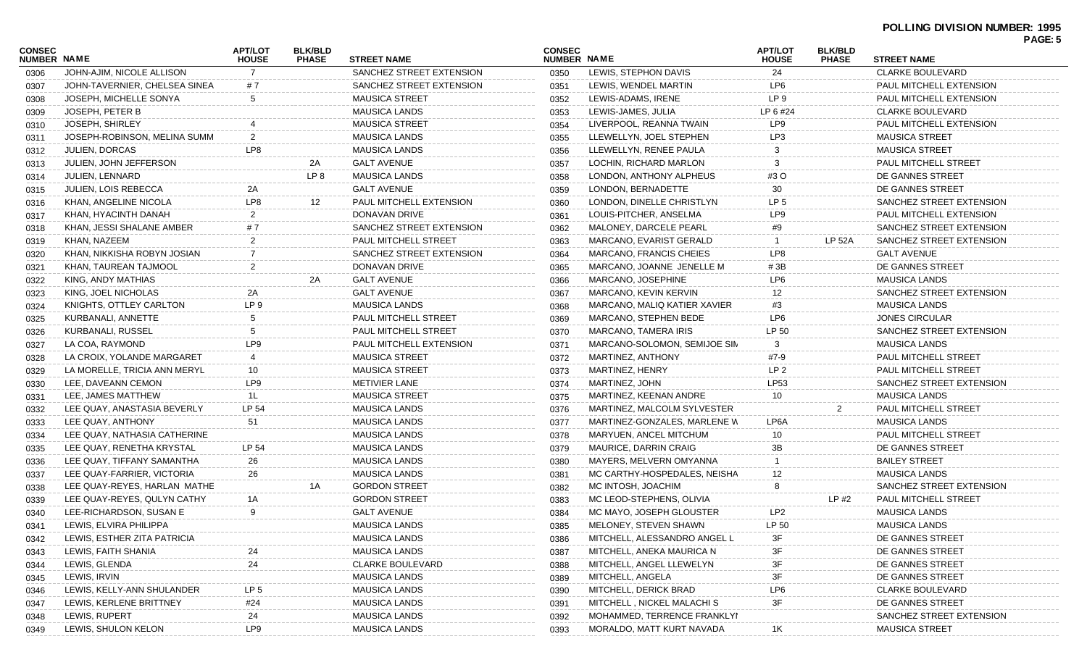#### **POLLING DIVISION NUMBER: 1995 PAGE: 5**

|                              |                               | <b>APT/LOT</b>  |                                |                          | <b>CONSEC</b> |                              | <b>APT/LOT</b>  | <b>BLK/BLD</b> |                          | <b>FAGE.J</b> |
|------------------------------|-------------------------------|-----------------|--------------------------------|--------------------------|---------------|------------------------------|-----------------|----------------|--------------------------|---------------|
| CONSEC<br><b>NUMBER NAME</b> |                               | <b>HOUSE</b>    | <b>BLK/BLD</b><br><b>PHASE</b> | <b>STREET NAME</b>       | NUMBER NAME   |                              | <b>HOUSE</b>    | <b>PHASE</b>   | <b>STREET NAME</b>       |               |
| 0306                         | JOHN-AJIM, NICOLE ALLISON     |                 |                                | SANCHEZ STREET EXTENSION | 0350          | LEWIS, STEPHON DAVIS         | 24              |                | <b>CLARKE BOULEVARD</b>  |               |
| 0307                         | JOHN-TAVERNIER, CHELSEA SINEA | #7              |                                | SANCHEZ STREET EXTENSION | 0351          | LEWIS, WENDEL MARTIN         | LP6             |                | PAUL MITCHELL EXTENSION  |               |
| 0308                         | JOSEPH. MICHELLE SONYA        | 5               |                                | <b>MAUSICA STREET</b>    | 0352          | LEWIS-ADAMS, IRENE           | LP 9            |                | PAUL MITCHELL EXTENSION  |               |
| 0309                         | <b>JOSEPH, PETER B</b>        |                 |                                | <b>MAUSICA LANDS</b>     | 0353          | LEWIS-JAMES, JULIA           | LP 6 #24        |                | <b>CLARKE BOULEVARD</b>  |               |
| 0310                         | JOSEPH, SHIRLEY               |                 |                                | <b>MAUSICA STREET</b>    | 0354          | LIVERPOOL, REANNA TWAIN      | LP9             |                | PAUL MITCHELL EXTENSION  |               |
| 0311                         | JOSEPH-ROBINSON, MELINA SUMM  |                 |                                | <b>MAUSICA LANDS</b>     | 0355          | LLEWELLYN, JOEL STEPHEN      | LP3             |                | <b>MAUSICA STREET</b>    |               |
| 0312                         | <b>JULIEN, DORCAS</b>         | LP8             |                                | <b>MAUSICA LANDS</b>     | 0356          | LLEWELLYN, RENEE PAULA       |                 |                | <b>MAUSICA STREET</b>    |               |
| 0313                         | JULIEN, JOHN JEFFERSON        |                 | 2A                             | <b>GALT AVENUE</b>       | 0357          | LOCHIN, RICHARD MARLON       |                 |                | PAUL MITCHELL STREET     |               |
| 0314                         | <b>JULIEN, LENNARD</b>        |                 | LP 8                           | <b>MAUSICA LANDS</b>     | 0358          | LONDON, ANTHONY ALPHEUS      | #3 O            |                | DE GANNES STREET         |               |
| 0315                         | <b>JULIEN, LOIS REBECCA</b>   | 2A              |                                | <b>GALT AVENUE</b>       | 0359          | LONDON, BERNADETTE           | 30              |                | DE GANNES STREET         |               |
| 0316                         | KHAN, ANGELINE NICOLA         | LP8             | 12                             | PAUL MITCHELL EXTENSION  | 0360          | LONDON, DINELLE CHRISTLYN    | LP 5            |                | SANCHEZ STREET EXTENSION |               |
| 0317                         | KHAN, HYACINTH DANAH          |                 |                                | DONAVAN DRIVE            | 0361          | LOUIS-PITCHER, ANSELMA       | LP9             |                | PAUL MITCHELL EXTENSION  |               |
| 0318                         | KHAN, JESSI SHALANE AMBER     | # 7             |                                | SANCHEZ STREET EXTENSION | 0362          | MALONEY, DARCELE PEARL       | #9              |                | SANCHEZ STREET EXTENSION |               |
| 0319                         | KHAN, NAZEEM                  |                 |                                | PAUL MITCHELL STREET     | 0363          | MARCANO, EVARIST GERALD      |                 | LP 52A         | SANCHEZ STREET EXTENSION |               |
| 0320                         | KHAN, NIKKISHA ROBYN JOSIAN   |                 |                                | SANCHEZ STREET EXTENSION | 0364          | MARCANO, FRANCIS CHEIES      | LP8             |                | <b>GALT AVENUE</b>       |               |
| 0321                         | KHAN, TAUREAN TAJMOOL         |                 |                                | DONAVAN DRIVE            | 0365          | MARCANO, JOANNE JENELLE M    | #3B             |                | DE GANNES STREET         |               |
| 0322                         | KING, ANDY MATHIAS            |                 | 2A                             | <b>GALT AVENUE</b>       | 0366          | MARCANO, JOSEPHINE           | LP6             |                | <b>MAUSICA LANDS</b>     |               |
| 0323                         | KING, JOEL NICHOLAS           | 2A              |                                | <b>GALT AVENUE</b>       | 0367          | MARCANO, KEVIN KERVIN        | 12              |                | SANCHEZ STREET EXTENSION |               |
| 0324                         | KNIGHTS, OTTLEY CARLTON       | LP 9            |                                | <b>MAUSICA LANDS</b>     | 0368          | MARCANO, MALIQ KATIER XAVIER | #3              |                | <b>MAUSICA LANDS</b>     |               |
| 0325                         | KURBANALI, ANNETTE            | 5               |                                | PAUL MITCHELL STREET     | 0369          | MARCANO, STEPHEN BEDE        | LP6             |                | <b>JONES CIRCULAR</b>    |               |
| 0326                         | KURBANALI, RUSSEL             |                 |                                | PAUL MITCHELL STREET     | 0370          | MARCANO, TAMERA IRIS         | LP 50           |                | SANCHEZ STREET EXTENSION |               |
| 0327                         | LA COA, RAYMOND               | LP9             |                                | PAUL MITCHELL EXTENSION  | 0371          | MARCANO-SOLOMON, SEMIJOE SIN | 3               |                | <b>MAUSICA LANDS</b>     |               |
| 0328                         | LA CROIX, YOLANDE MARGARET    | 4               |                                | <b>MAUSICA STREET</b>    | 0372          | MARTINEZ, ANTHONY            | #7-9            |                | PAUL MITCHELL STREET     |               |
| 0329                         | LA MORELLE, TRICIA ANN MERYL  | 10              |                                | <b>MAUSICA STREET</b>    | 0373          | MARTINEZ, HENRY              | LP <sub>2</sub> |                | PAUL MITCHELL STREET     |               |
| 0330                         | LEE, DAVEANN CEMON            | LP9             |                                | <b>METIVIER LANE</b>     | 0374          | MARTINEZ, JOHN               | LP53            |                | SANCHEZ STREET EXTENSION |               |
| 0331                         | LEE, JAMES MATTHEW            | 1L              |                                | <b>MAUSICA STREET</b>    | 0375          | MARTINEZ, KEENAN ANDRE       | 10              |                | <b>MAUSICA LANDS</b>     |               |
| 0332                         | LEE QUAY, ANASTASIA BEVERLY   | LP 54           |                                | <b>MAUSICA LANDS</b>     | 0376          | MARTINEZ, MALCOLM SYLVESTER  |                 |                | PAUL MITCHELL STREET     |               |
| 0333                         | LEE QUAY, ANTHONY             | 51              |                                | <b>MAUSICA LANDS</b>     | 0377          | MARTINEZ-GONZALES, MARLENE W | LP6A            |                | <b>MAUSICA LANDS</b>     |               |
| 0334                         | LEE QUAY, NATHASIA CATHERINE  |                 |                                | <b>MAUSICA LANDS</b>     | 0378          | MARYUEN, ANCEL MITCHUM       | 10              |                | PAUL MITCHELL STREET     |               |
| 0335                         | LEE QUAY, RENETHA KRYSTAL     | LP 54           |                                | <b>MAUSICA LANDS</b>     | 0379          | MAURICE, DARRIN CRAIG        | 3В              |                | DE GANNES STREET         |               |
| 0336                         | LEE QUAY, TIFFANY SAMANTHA    | 26              |                                | <b>MAUSICA LANDS</b>     | 0380          | MAYERS, MELVERN OMYANNA      |                 |                | <b>BAILEY STREET</b>     |               |
| 0337                         | LEE QUAY-FARRIER, VICTORIA    | 26              |                                | <b>MAUSICA LANDS</b>     | 0381          | MC CARTHY-HOSPEDALES, NEISHA | 12.             |                | <b>MAUSICA LANDS</b>     |               |
| 0338                         | LEE QUAY-REYES, HARLAN MATHE  |                 | 1Α                             | <b>GORDON STREET</b>     | 0382          | MC INTOSH, JOACHIM           |                 |                | SANCHEZ STREET EXTENSION |               |
| 0339                         | LEE QUAY-REYES, QULYN CATHY   | 1A              |                                | <b>GORDON STREET</b>     | 0383          | MC LEOD-STEPHENS, OLIVIA     |                 | LP #2          | PAUL MITCHELL STREET     |               |
| 0340                         | LEE-RICHARDSON, SUSAN E       | 9               |                                | <b>GALT AVENUE</b>       | 0384          | MC MAYO, JOSEPH GLOUSTER     | LP2             |                | <b>MAUSICA LANDS</b>     |               |
| 0341                         | LEWIS, ELVIRA PHILIPPA        |                 |                                | <b>MAUSICA LANDS</b>     | 0385          | MELONEY, STEVEN SHAWN        | LP 50           |                | <b>MAUSICA LANDS</b>     |               |
| 0342                         | LEWIS, ESTHER ZITA PATRICIA   |                 |                                | <b>MAUSICA LANDS</b>     | 0386          | MITCHELL, ALESSANDRO ANGEL L |                 |                | DE GANNES STREET         |               |
| 0343                         | LEWIS, FAITH SHANIA           |                 |                                | <b>MAUSICA LANDS</b>     | 0387          | MITCHELL, ANEKA MAURICA N    |                 |                | DE GANNES STREET         |               |
| 0344                         | LEWIS, GLENDA                 | 24              |                                | <b>CLARKE BOULEVARD</b>  | 0388          | MITCHELL, ANGEL LLEWELYN     |                 |                | DE GANNES STREET         |               |
| 0345                         | LEWIS, IRVIN                  |                 |                                | <b>MAUSICA LANDS</b>     | 0389          | MITCHELL, ANGELA             | 3F              |                | DE GANNES STREET         |               |
| 0346                         | LEWIS, KELLY-ANN SHULANDER    | LP <sub>5</sub> |                                | <b>MAUSICA LANDS</b>     | 0390          | MITCHELL, DERICK BRAD        | LP6             |                | <b>CLARKE BOULEVARD</b>  |               |
| 0347                         | LEWIS, KERLENE BRITTNEY       | #24             |                                | <b>MAUSICA LANDS</b>     | 0391          | MITCHELL, NICKEL MALACHI S   | 3F              |                | DE GANNES STREET         |               |
| 0348                         | LEWIS, RUPERT                 | 24              |                                | <b>MAUSICA LANDS</b>     | 0392          | MOHAMMED, TERRENCE FRANKLYI  |                 |                | SANCHEZ STREET EXTENSION |               |
| 0349                         | LEWIS, SHULON KELON           | LP9             |                                | <b>MAUSICA LANDS</b>     | 0393          | MORALDO, MATT KURT NAVADA    | 1K              |                | <b>MAUSICA STREET</b>    |               |
|                              |                               |                 |                                |                          |               |                              |                 |                |                          |               |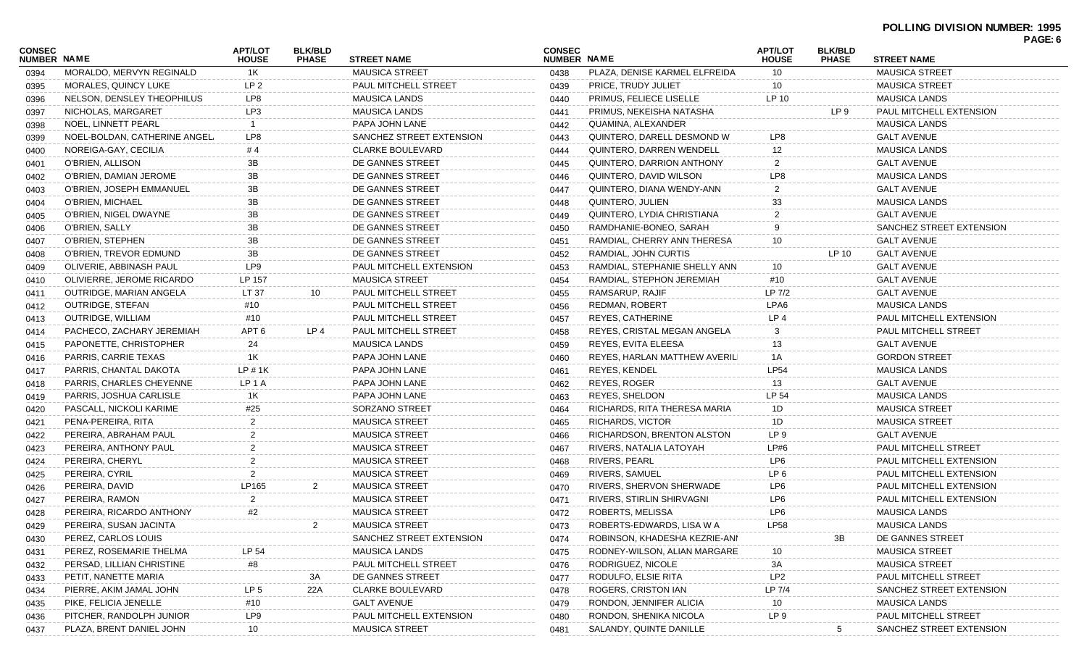### **POLLING DIVISION NUMBER: 1995**

| <b>CONSEC</b><br>NUMBER NAME |                              | <b>APT/LOT</b><br><b>HOUSE</b> | <b>BLK/BLD</b><br><b>PHASE</b> | <b>STREET NAME</b>          | <b>CONSEC</b><br>NUMBER NAME |                                 | <b>APT/LOT</b><br><b>HOUSE</b> | <b>BLK/BLD</b><br><b>PHASE</b> | <b>STREET NAME</b>             | PAGE: 6 |
|------------------------------|------------------------------|--------------------------------|--------------------------------|-----------------------------|------------------------------|---------------------------------|--------------------------------|--------------------------------|--------------------------------|---------|
| 0394                         | MORALDO, MERVYN REGINALD     | 1K                             |                                | <b>MAUSICA STREET</b>       | 0438                         | PLAZA, DENISE KARMEL ELFREIDA   | 10                             |                                | <b>MAUSICA STREET</b>          |         |
| 0395                         | MORALES, QUINCY LUKE         | LP <sub>2</sub>                |                                | PAUL MITCHELL STREET        | 0439                         | PRICE, TRUDY JULIET             | 10                             |                                | <b>MAUSICA STREET</b>          |         |
| 0396                         | NELSON, DENSLEY THEOPHILUS   | LP8                            |                                | <b>MAUSICA LANDS</b>        | 0440                         | <b>PRIMUS, FELIECE LISELLE</b>  | LP 10                          |                                | <b>MAUSICA LANDS</b>           |         |
| 0397                         | NICHOLAS, MARGARET           | LP3                            |                                | <b>MAUSICA LANDS</b>        | 0441                         | PRIMUS, NEKEISHA NATASHA        |                                | LP 9                           | <b>PAUL MITCHELL EXTENSION</b> |         |
| 0398                         | NOEL, LINNETT PEARL          |                                |                                | PAPA JOHN LANE              | 0442                         | QUAMINA, ALEXANDER              |                                |                                | <b>MAUSICA LANDS</b>           |         |
| 0399                         | NOEL-BOLDAN, CATHERINE ANGEL | LP8                            |                                | SANCHEZ STREET EXTENSION    | 0443                         | QUINTERO, DARELL DESMOND W      | LP8                            |                                | <b>GALT AVENUE</b>             |         |
| 0400                         | NOREIGA-GAY, CECILIA         | #4                             |                                | <b>CLARKE BOULEVARD</b>     | 0444                         | QUINTERO, DARREN WENDELL        | 12                             |                                | <b>MAUSICA LANDS</b>           |         |
| 0401                         | O'BRIEN, ALLISON             | 3B                             |                                | DE GANNES STREET            | 0445                         | QUINTERO, DARRION ANTHONY       | 2                              |                                | <b>GALT AVENUE</b>             |         |
| 0402                         | O'BRIEN, DAMIAN JEROME       | 3B                             |                                | DE GANNES STREET            | 0446                         | QUINTERO, DAVID WILSON          | LP8                            |                                | <b>MAUSICA LANDS</b>           |         |
| 0403                         | O'BRIEN, JOSEPH EMMANUEL     | 3B                             |                                | DE GANNES STREET            | 0447                         | QUINTERO, DIANA WENDY-ANN       | $\overline{2}$                 |                                | <b>GALT AVENUE</b>             |         |
| 0404                         | O'BRIEN, MICHAEL             | 3B                             |                                | DE GANNES STREET            | 0448                         | QUINTERO, JULIEN                | 33                             |                                | <b>MAUSICA LANDS</b>           |         |
| 0405                         | O'BRIEN, NIGEL DWAYNE        | 3B                             |                                | DE GANNES STREET            | 0449                         | QUINTERO, LYDIA CHRISTIANA      |                                |                                | <b>GALT AVENUE</b>             |         |
| 0406                         | O'BRIEN, SALLY               | 3B                             |                                | DE GANNES STREET            | 0450                         | RAMDHANIE-BONEO, SARAH          | 9                              |                                | SANCHEZ STREET EXTENSION       |         |
| 0407                         | O'BRIEN, STEPHEN             | 3B                             |                                | DE GANNES STREET            | 0451                         | RAMDIAL, CHERRY ANN THERESA     | 10                             |                                | <b>GALT AVENUE</b>             |         |
| 0408                         | O'BRIEN, TREVOR EDMUND       | 3B                             |                                | DE GANNES STREET            | 0452                         | RAMDIAL, JOHN CURTIS            |                                | LP 10                          | <b>GALT AVENUE</b>             |         |
| 0409                         | OLIVERIE, ABBINASH PAUL      | LP9                            |                                | PAUL MITCHELL EXTENSION     | 0453                         | RAMDIAL, STEPHANIE SHELLY ANN   | 10                             |                                | <b>GALT AVENUE</b>             |         |
| 0410                         | OLIVIERRE, JEROME RICARDO    | LP 157                         |                                | <b>MAUSICA STREET</b>       | 0454                         | RAMDIAL, STEPHON JEREMIAH       | #10                            |                                | <b>GALT AVENUE</b>             |         |
| 0411                         | OUTRIDGE, MARIAN ANGELA      | LT 37                          | 10                             | PAUL MITCHELL STREET        | 0455                         | RAMSARUP, RAJIF                 | LP 7/2                         |                                | <b>GALT AVENUE</b>             |         |
| 0412                         | OUTRIDGE, STEFAN             | #10                            |                                | <b>PAUL MITCHELL STREET</b> | 0456                         | REDMAN, ROBERT                  | LPA6                           |                                | <b>MAUSICA LANDS</b>           |         |
| 0413                         | <b>OUTRIDGE, WILLIAM</b>     | #10                            |                                | <b>PAUL MITCHELL STREET</b> | 0457                         | REYES, CATHERINE                | LP 4                           |                                | <b>PAUL MITCHELL EXTENSION</b> |         |
| 0414                         | PACHECO, ZACHARY JEREMIAH    | APT <sub>6</sub>               | LP <sub>4</sub>                | PAUL MITCHELL STREET        | 0458                         | REYES, CRISTAL MEGAN ANGELA     | 3                              |                                | PAUL MITCHELL STREET           |         |
| 0415                         | PAPONETTE, CHRISTOPHER       | 24                             |                                | <b>MAUSICA LANDS</b>        | 0459                         | REYES, EVITA ELEESA             | 13                             |                                | <b>GALT AVENUE</b>             |         |
| 0416                         | PARRIS, CARRIE TEXAS         | 1K                             |                                | PAPA JOHN LANE              | 0460                         | REYES, HARLAN MATTHEW AVERILI   | 1A                             |                                | <b>GORDON STREET</b>           |         |
| 0417                         | PARRIS, CHANTAL DAKOTA       | LP#1K                          |                                | PAPA JOHN LANE              | 0461                         | REYES, KENDEL                   | <b>LP54</b>                    |                                | <b>MAUSICA LANDS</b>           |         |
| 0418                         | PARRIS, CHARLES CHEYENNE     | LP 1 A                         |                                | PAPA JOHN LANE              | 0462                         | REYES, ROGER                    | 13                             |                                | <b>GALT AVENUE</b>             |         |
| 0419                         | PARRIS, JOSHUA CARLISLE      | 1K                             |                                | PAPA JOHN LANE              | 0463                         | <b>REYES, SHELDON</b>           | LP 54                          |                                | <b>MAUSICA LANDS</b>           |         |
| 0420                         | PASCALL, NICKOLI KARIME      | #25                            |                                | SORZANO STREET              | 0464                         | RICHARDS, RITA THERESA MARIA    | 1D                             |                                | <b>MAUSICA STREET</b>          |         |
| 0421                         | PENA-PEREIRA, RITA           |                                |                                | <b>MAUSICA STREET</b>       | 0465                         | <b>RICHARDS, VICTOR</b>         | 1D                             |                                | <b>MAUSICA STREET</b>          |         |
| 0422                         | PEREIRA, ABRAHAM PAUL        |                                |                                | <b>MAUSICA STREET</b>       | 0466                         | RICHARDSON, BRENTON ALSTON      | LP 9                           |                                | <b>GALT AVENUE</b>             |         |
| 0423                         | PEREIRA, ANTHONY PAUL        | $\overline{2}$                 |                                | <b>MAUSICA STREET</b>       | 0467                         | RIVERS, NATALIA LATOYAH         | LP#6                           |                                | PAUL MITCHELL STREET           |         |
| 0424                         | PEREIRA, CHERYL              |                                |                                | <b>MAUSICA STREET</b>       | 0468                         | RIVERS, PEARL                   | LP6                            |                                | PAUL MITCHELL EXTENSION        |         |
| 0425                         | PEREIRA, CYRIL               |                                |                                | <b>MAUSICA STREET</b>       | 0469                         | RIVERS, SAMUEL                  | LP <sub>6</sub>                |                                | PAUL MITCHELL EXTENSION        |         |
| 0426                         | PEREIRA, DAVID               | LP165                          | 2                              | <b>MAUSICA STREET</b>       | 0470                         | <b>RIVERS, SHERVON SHERWADE</b> | LP6                            |                                | PAUL MITCHELL EXTENSION        |         |
| 0427                         | PEREIRA, RAMON               | 2                              |                                | <b>MAUSICA STREET</b>       | 0471                         | RIVERS, STIRLIN SHIRVAGNI       | LP6                            |                                | PAUL MITCHELL EXTENSION        |         |
| 0428                         | PEREIRA, RICARDO ANTHONY     | #2                             |                                | <b>MAUSICA STREET</b>       | 0472                         | ROBERTS, MELISSA                | LP6                            |                                | <b>MAUSICA LANDS</b>           |         |
| 0429                         | PEREIRA, SUSAN JACINTA       |                                | 2                              | <b>MAUSICA STREET</b>       | 0473                         | ROBERTS-EDWARDS, LISA W A       | <b>LP58</b>                    |                                | <b>MAUSICA LANDS</b>           |         |
| 0430                         | PEREZ, CARLOS LOUIS          |                                |                                | SANCHEZ STREET EXTENSION    | 0474                         | ROBINSON, KHADESHA KEZRIE-ANI   |                                | 3B                             | DE GANNES STREET               |         |
|                              | PEREZ, ROSEMARIE THELMA      | LP 54                          |                                | <b>MAUSICA LANDS</b>        | 0475                         | RODNEY-WILSON, ALIAN MARGARE    | 10                             |                                | <b>MAUSICA STREET</b>          |         |
| 0431                         | PERSAD, LILLIAN CHRISTINE    | #8                             |                                | PAUL MITCHELL STREET        | 0476                         | RODRIGUEZ, NICOLE               | 3A                             |                                | <b>MAUSICA STREET</b>          |         |
| 0432                         | PETIT, NANETTE MARIA         |                                | 3A                             | DE GANNES STREET            |                              | RODULFO, ELSIE RITA             | LP2                            |                                | PAUL MITCHELL STREET           |         |
| 0433                         | PIERRE, AKIM JAMAL JOHN      | LP <sub>5</sub>                | 22A                            | <b>CLARKE BOULEVARD</b>     | 0477                         | ROGERS, CRISTON IAN             | LP 7/4                         |                                | SANCHEZ STREET EXTENSION       |         |
| 0434                         | PIKE, FELICIA JENELLE        | #10                            |                                | <b>GALT AVENUE</b>          | 0478                         | RONDON, JENNIFER ALICIA         | 10                             |                                | <b>MAUSICA LANDS</b>           |         |
| 0435                         | PITCHER, RANDOLPH JUNIOR     | LP9                            |                                | PAUL MITCHELL EXTENSION     | 0479                         | RONDON, SHENIKA NICOLA          | LP 9                           |                                | PAUL MITCHELL STREET           |         |
| 0436                         | PLAZA, BRENT DANIEL JOHN     |                                |                                | <b>MAUSICA STREET</b>       | 0480                         | SALANDY, QUINTE DANILLE         |                                | 5                              | SANCHEZ STREET EXTENSION       |         |
| 0437                         |                              | 10                             |                                |                             | 0481                         |                                 |                                |                                |                                |         |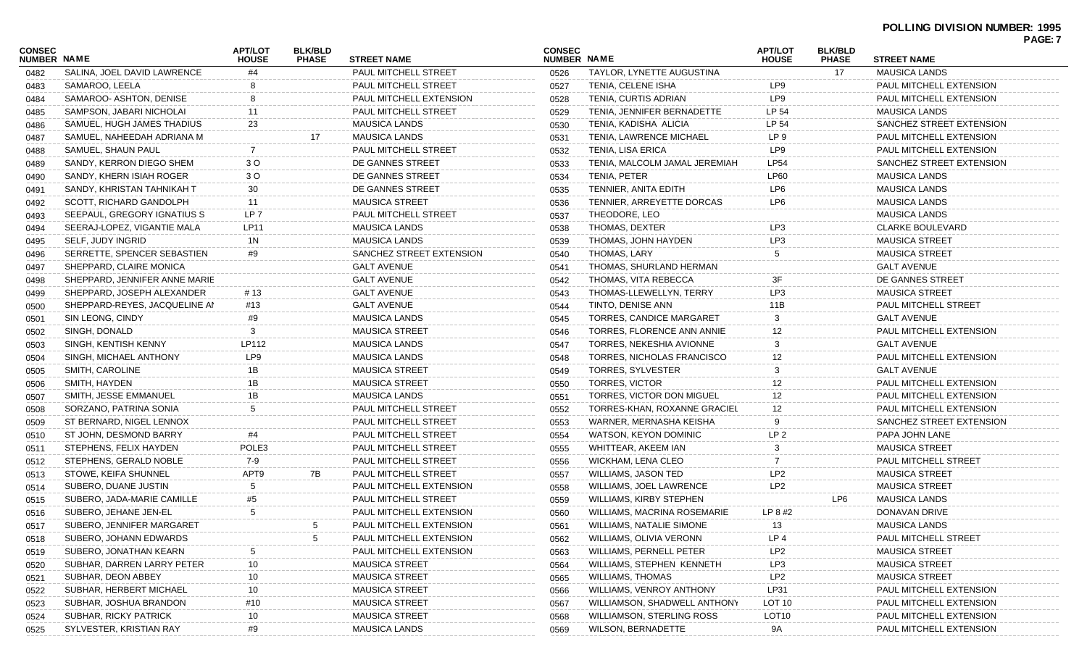|                              |                               |                                |                                |                             |                              |                                  |                                |                                |                             | PAGE: 7 |
|------------------------------|-------------------------------|--------------------------------|--------------------------------|-----------------------------|------------------------------|----------------------------------|--------------------------------|--------------------------------|-----------------------------|---------|
| <b>CONSEC</b><br>NUMBER NAME |                               | <b>APT/LOT</b><br><b>HOUSE</b> | <b>BLK/BLD</b><br><b>PHASE</b> | <b>STREET NAME</b>          | <b>CONSEC</b><br>NUMBER NAME |                                  | <b>APT/LOT</b><br><b>HOUSE</b> | <b>BLK/BLD</b><br><b>PHASE</b> | <b>STREET NAME</b>          |         |
| 0482                         | SALINA, JOEL DAVID LAWRENCE   | #4                             |                                | PAUL MITCHELL STREET        | 0526                         | TAYLOR, LYNETTE AUGUSTINA        |                                | 17                             | <b>MAUSICA LANDS</b>        |         |
| 0483                         | SAMAROO, LEELA                |                                |                                | PAUL MITCHELL STREET        | 0527                         | TENIA, CELENE ISHA               | LP9                            |                                | PAUL MITCHELL EXTENSION     |         |
| 0484                         | SAMAROO- ASHTON, DENISE       |                                |                                | PAUL MITCHELL EXTENSION     | 0528                         | TENIA, CURTIS ADRIAN             | LP9                            |                                | PAUL MITCHELL EXTENSION     |         |
| 0485                         | SAMPSON, JABARI NICHOLAI      | 11                             |                                | PAUL MITCHELL STREET        | 0529                         | TENIA, JENNIFER BERNADETTE       | LP 54                          |                                | <b>MAUSICA LANDS</b>        |         |
| 0486                         | SAMUEL, HUGH JAMES THADIUS    | 23                             |                                | <b>MAUSICA LANDS</b>        | 0530                         | TENIA, KADISHA ALICIA            | LP 54                          |                                | SANCHEZ STREET EXTENSION    |         |
| 0487                         | SAMUEL, NAHEEDAH ADRIANA M    |                                | 17                             | <b>MAUSICA LANDS</b>        | 0531                         | <b>TENIA, LAWRENCE MICHAEL</b>   | LP 9                           |                                | PAUL MITCHELL EXTENSION     |         |
| 0488                         | SAMUEL, SHAUN PAUL            |                                |                                | <b>PAUL MITCHELL STREET</b> | 0532                         | TENIA, LISA ERICA                | LP9                            |                                | PAUL MITCHELL EXTENSION     |         |
| 0489                         | SANDY, KERRON DIEGO SHEM      | 3 O                            |                                | DE GANNES STREET            | 0533                         | TENIA, MALCOLM JAMAL JEREMIAH    | <b>LP54</b>                    |                                | SANCHEZ STREET EXTENSION    |         |
| 0490                         | SANDY, KHERN ISIAH ROGER      | 3 O                            |                                | DE GANNES STREET            | 0534                         | TENIA, PETER                     | <b>LP60</b>                    |                                | <b>MAUSICA LANDS</b>        |         |
| 0491                         | SANDY, KHRISTAN TAHNIKAH T    | 30                             |                                | DE GANNES STREET            | 0535                         | TENNIER, ANITA EDITH             | LP6                            |                                | <b>MAUSICA LANDS</b>        |         |
| 0492                         | SCOTT, RICHARD GANDOLPH       | 11                             |                                | <b>MAUSICA STREET</b>       | 0536                         | TENNIER, ARREYETTE DORCAS        | LP6                            |                                | <b>MAUSICA LANDS</b>        |         |
| 0493                         | SEEPAUL, GREGORY IGNATIUS S   | LP <sub>7</sub>                |                                | PAUL MITCHELL STREET        | 0537                         | THEODORE, LEO                    |                                |                                | <b>MAUSICA LANDS</b>        |         |
| 0494                         | SEERAJ-LOPEZ, VIGANTIE MALA   | LP11                           |                                | <b>MAUSICA LANDS</b>        | 0538                         | THOMAS, DEXTER                   | LP3                            |                                | <b>CLARKE BOULEVARD</b>     |         |
| 0495                         | SELF, JUDY INGRID             | 1N                             |                                | <b>MAUSICA LANDS</b>        | 0539                         | THOMAS, JOHN HAYDEN              | LP3                            |                                | <b>MAUSICA STREET</b>       |         |
| 0496                         | SERRETTE, SPENCER SEBASTIEN   | #9                             |                                | SANCHEZ STREET EXTENSION    | 0540                         | <b>THOMAS, LARY</b>              | 5                              |                                | <b>MAUSICA STREET</b>       |         |
| 0497                         | SHEPPARD, CLAIRE MONICA       |                                |                                | <b>GALT AVENUE</b>          | 0541                         | THOMAS, SHURLAND HERMAN          |                                |                                | <b>GALT AVENUE</b>          |         |
| 0498                         | SHEPPARD, JENNIFER ANNE MARIE |                                |                                | <b>GALT AVENUE</b>          | 0542                         | THOMAS, VITA REBECCA             | 3F                             |                                | DE GANNES STREET            |         |
| 0499                         | SHEPPARD, JOSEPH ALEXANDER    | # 13                           |                                | <b>GALT AVENUE</b>          | 0543                         | THOMAS-LLEWELLYN, TERRY          | LP3                            |                                | <b>MAUSICA STREET</b>       |         |
| 0500                         | SHEPPARD-REYES, JACQUELINE AN | #13                            |                                | <b>GALT AVENUE</b>          | 0544                         | TINTO, DENISE ANN                | 11B                            |                                | <b>PAUL MITCHELL STREET</b> |         |
| 0501                         | SIN LEONG, CINDY              | #9                             |                                | <b>MAUSICA LANDS</b>        | 0545                         | <b>TORRES, CANDICE MARGARET</b>  | 3                              |                                | <b>GALT AVENUE</b>          |         |
| 0502                         | SINGH, DONALD                 | 3                              |                                | <b>MAUSICA STREET</b>       | 0546                         | TORRES. FLORENCE ANN ANNIE       | 12                             |                                | PAUL MITCHELL EXTENSION     |         |
| 0503                         | SINGH, KENTISH KENNY          | LP112                          |                                | <b>MAUSICA LANDS</b>        | 0547                         | TORRES, NEKESHIA AVIONNE         | 3                              |                                | <b>GALT AVENUE</b>          |         |
| 0504                         | SINGH, MICHAEL ANTHONY        | LP9                            |                                | <b>MAUSICA LANDS</b>        | 0548                         | TORRES, NICHOLAS FRANCISCO       | 12                             |                                | PAUL MITCHELL EXTENSION     |         |
| 0505                         | SMITH, CAROLINE               | 1B                             |                                | <b>MAUSICA STREET</b>       | 0549                         | TORRES, SYLVESTER                | 3                              |                                | <b>GALT AVENUE</b>          |         |
| 0506                         | SMITH, HAYDEN                 | 1B                             |                                | <b>MAUSICA STREET</b>       | 0550                         | <b>TORRES, VICTOR</b>            | 12                             |                                | PAUL MITCHELL EXTENSION     |         |
| 0507                         | SMITH, JESSE EMMANUEL         | 1B                             |                                | <b>MAUSICA LANDS</b>        | 0551                         | <b>TORRES, VICTOR DON MIGUEL</b> | 12                             |                                | PAUL MITCHELL EXTENSION     |         |
| 0508                         | SORZANO, PATRINA SONIA        | 5                              |                                | PAUL MITCHELL STREET        | 0552                         | TORRES-KHAN, ROXANNE GRACIEL     | 12                             |                                | PAUL MITCHELL EXTENSION     |         |
| 0509                         | ST BERNARD, NIGEL LENNOX      |                                |                                | PAUL MITCHELL STREET        | 0553                         | WARNER, MERNASHA KEISHA          | 9                              |                                | SANCHEZ STREET EXTENSION    |         |
| 0510                         | ST JOHN, DESMOND BARRY        | #4                             |                                | PAUL MITCHELL STREET        | 0554                         | WATSON, KEYON DOMINIC            | LP <sub>2</sub>                |                                | PAPA JOHN LANE              |         |
| 0511                         | STEPHENS, FELIX HAYDEN        | POLE3                          |                                | PAUL MITCHELL STREET        | 0555                         | WHITTEAR, AKEEM IAN              | 3                              |                                | <b>MAUSICA STREET</b>       |         |
| 0512                         | STEPHENS, GERALD NOBLE        | 7-9                            |                                | PAUL MITCHELL STREET        | 0556                         | WICKHAM, LENA CLEO               | 7                              |                                | PAUL MITCHELL STREET        |         |
| 0513                         | STOWE, KEIFA SHUNNEL          | APT9                           | 7B                             | PAUL MITCHELL STREET        | 0557                         | <b>WILLIAMS, JASON TED</b>       | LP2                            |                                | <b>MAUSICA STREET</b>       |         |
| 0514                         | SUBERO, DUANE JUSTIN          | 5                              |                                | PAUL MITCHELL EXTENSION     | 0558                         | WILLIAMS, JOEL LAWRENCE          | LP <sub>2</sub>                |                                | <b>MAUSICA STREET</b>       |         |
| 0515                         | SUBERO, JADA-MARIE CAMILLE    | #5                             |                                | PAUL MITCHELL STREET        | 0559                         | WILLIAMS, KIRBY STEPHEN          |                                | LP6                            | <b>MAUSICA LANDS</b>        |         |
| 0516                         | SUBERO, JEHANE JEN-EL         | 5                              |                                | PAUL MITCHELL EXTENSION     | 0560                         | WILLIAMS, MACRINA ROSEMARIE      | LP 8 #2                        |                                | DONAVAN DRIVE               |         |
| 0517                         | SUBERO, JENNIFER MARGARET     |                                | 5                              | PAUL MITCHELL EXTENSION     | 0561                         | <b>WILLIAMS, NATALIE SIMONE</b>  | 13                             |                                | MAUSICA LANDS               |         |
| 0518                         | SUBERO, JOHANN EDWARDS        |                                | 5                              | PAUL MITCHELL EXTENSION     | 0562                         | WILLIAMS, OLIVIA VERONN          | LP <sub>4</sub>                |                                | PAUL MITCHELL STREET        |         |
| 0519                         | SUBERO, JONATHAN KEARN        |                                |                                | PAUL MITCHELL EXTENSION     | 0563                         | WILLIAMS, PERNELL PETER          | LP <sub>2</sub>                |                                | <b>MAUSICA STREET</b>       |         |
| 0520                         | SUBHAR, DARREN LARRY PETER    | 10                             |                                | <b>MAUSICA STREET</b>       | 0564                         | WILLIAMS, STEPHEN KENNETH        | LP3                            |                                | <b>MAUSICA STREET</b>       |         |
| 0521                         | SUBHAR, DEON ABBEY            | 10                             |                                | <b>MAUSICA STREET</b>       | 0565                         | <b>WILLIAMS, THOMAS</b>          | LP <sub>2</sub>                |                                | <b>MAUSICA STREET</b>       |         |
| 0522                         | SUBHAR, HERBERT MICHAEL       | 10                             |                                | <b>MAUSICA STREET</b>       | 0566                         | WILLIAMS, VENROY ANTHONY         | LP31                           |                                | PAUL MITCHELL EXTENSION     |         |
| 0523                         | SUBHAR, JOSHUA BRANDON        | #10                            |                                | <b>MAUSICA STREET</b>       | 0567                         | WILLIAMSON, SHADWELL ANTHONY     | <b>LOT 10</b>                  |                                | PAUL MITCHELL EXTENSION     |         |
| 0524                         | <b>SUBHAR, RICKY PATRICK</b>  | 10                             |                                | <b>MAUSICA STREET</b>       | 0568                         | WILLIAMSON, STERLING ROSS        | LOT <sub>10</sub>              |                                | PAUL MITCHELL EXTENSION     |         |
| 0525                         | SYLVESTER, KRISTIAN RAY       | #9                             |                                | <b>MAUSICA LANDS</b>        | 0569                         | <b>WILSON, BERNADETTE</b>        | 9A                             |                                | PAUL MITCHELL EXTENSION     |         |
|                              |                               |                                |                                |                             |                              |                                  |                                |                                |                             |         |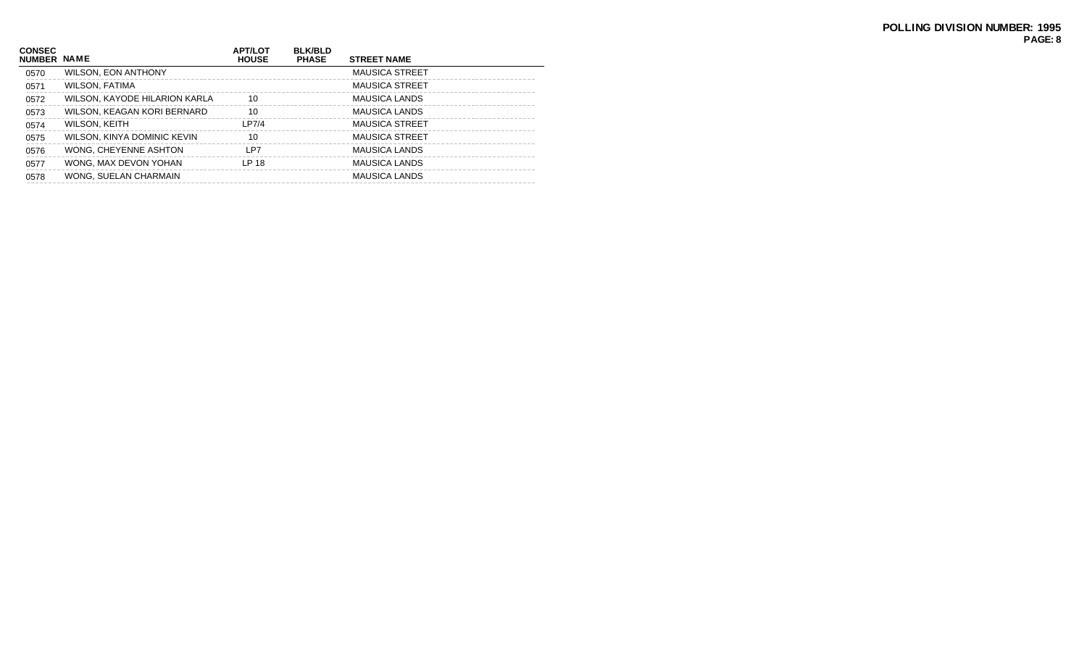| <b>CONSEC</b><br>NUMBER NAME |                               | <b>APT/LOT</b><br><b>HOUSE</b> | <b>BLK/BLD</b><br><b>PHASE</b> | <b>STREET NAME</b>    |
|------------------------------|-------------------------------|--------------------------------|--------------------------------|-----------------------|
| 0570                         | <b>WILSON, EON ANTHONY</b>    |                                |                                | <b>MAUSICA STREET</b> |
| 0571                         | <b>WILSON, FATIMA</b>         |                                |                                | <b>MAUSICA STREET</b> |
| 0572                         | WILSON, KAYODE HILARION KARLA | 10                             |                                | <b>MAUSICA LANDS</b>  |
| 0573                         | WILSON, KEAGAN KORI BERNARD   | 10                             |                                | <b>MAUSICA LANDS</b>  |
| 0574                         | WILSON, KEITH                 | LP7/4                          |                                | <b>MAUSICA STREET</b> |
| 0575                         | WILSON, KINYA DOMINIC KEVIN   | 10                             |                                | <b>MAUSICA STREET</b> |
| 0576                         | WONG, CHEYENNE ASHTON         | LP7                            |                                | <b>MAUSICA LANDS</b>  |
| 0577                         | WONG, MAX DEVON YOHAN         | LP 18                          |                                | <b>MAUSICA LANDS</b>  |
| 0578                         | WONG, SUELAN CHARMAIN         |                                |                                | <b>MAUSICA LANDS</b>  |